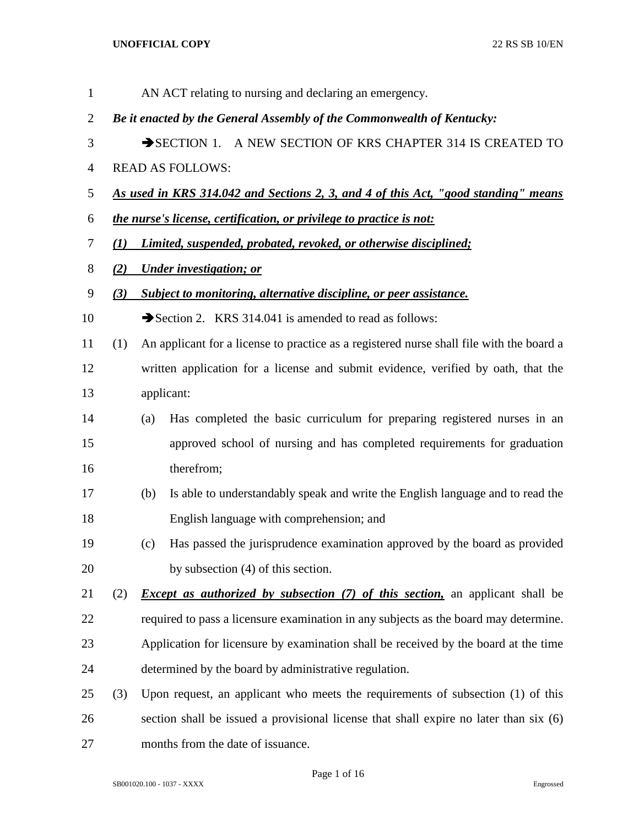| $\mathbf{1}$   |     |                                                                        | AN ACT relating to nursing and declaring an emergency.                                   |  |
|----------------|-----|------------------------------------------------------------------------|------------------------------------------------------------------------------------------|--|
| $\overline{2}$ |     | Be it enacted by the General Assembly of the Commonwealth of Kentucky: |                                                                                          |  |
| 3              |     | SECTION 1. A NEW SECTION OF KRS CHAPTER 314 IS CREATED TO              |                                                                                          |  |
| $\overline{4}$ |     |                                                                        | <b>READ AS FOLLOWS:</b>                                                                  |  |
| 5              |     |                                                                        | As used in KRS 314.042 and Sections 2, 3, and 4 of this Act, "good standing" means       |  |
| 6              |     |                                                                        | the nurse's license, certification, or privilege to practice is not:                     |  |
| 7              | (I) |                                                                        | Limited, suspended, probated, revoked, or otherwise disciplined;                         |  |
| 8              | (2) |                                                                        | <b>Under investigation; or</b>                                                           |  |
| 9              | (3) |                                                                        | Subject to monitoring, alternative discipline, or peer assistance.                       |  |
| 10             |     |                                                                        | Section 2. KRS 314.041 is amended to read as follows:                                    |  |
| 11             | (1) |                                                                        | An applicant for a license to practice as a registered nurse shall file with the board a |  |
| 12             |     |                                                                        | written application for a license and submit evidence, verified by oath, that the        |  |
| 13             |     |                                                                        | applicant:                                                                               |  |
| 14             |     | (a)                                                                    | Has completed the basic curriculum for preparing registered nurses in an                 |  |
| 15             |     |                                                                        | approved school of nursing and has completed requirements for graduation                 |  |
| 16             |     |                                                                        | therefrom;                                                                               |  |
| 17             |     | (b)                                                                    | Is able to understandably speak and write the English language and to read the           |  |
| 18             |     |                                                                        | English language with comprehension; and                                                 |  |
| 19             |     | (c)                                                                    | Has passed the jurisprudence examination approved by the board as provided               |  |
| 20             |     |                                                                        | by subsection (4) of this section.                                                       |  |
| 21             | (2) |                                                                        | <i>Except as authorized by subsection (7) of this section</i> , an applicant shall be    |  |
| 22             |     |                                                                        | required to pass a licensure examination in any subjects as the board may determine.     |  |
| 23             |     |                                                                        | Application for licensure by examination shall be received by the board at the time      |  |
| 24             |     |                                                                        | determined by the board by administrative regulation.                                    |  |
| 25             | (3) |                                                                        | Upon request, an applicant who meets the requirements of subsection (1) of this          |  |
| 26             |     |                                                                        | section shall be issued a provisional license that shall expire no later than six (6)    |  |
| 27             |     |                                                                        | months from the date of issuance.                                                        |  |

Page 1 of 16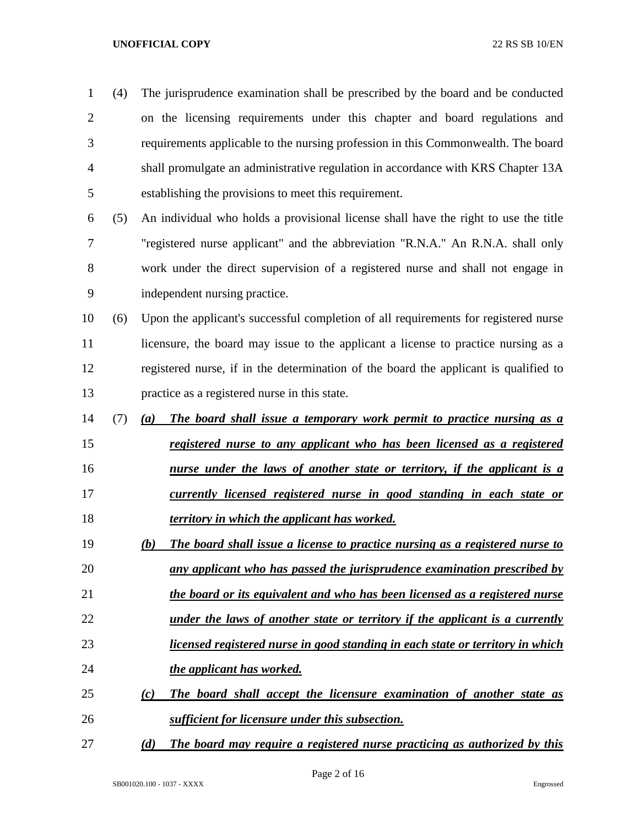| 1              | (4) | The jurisprudence examination shall be prescribed by the board and be conducted       |
|----------------|-----|---------------------------------------------------------------------------------------|
| $\overline{2}$ |     | on the licensing requirements under this chapter and board regulations and            |
| 3              |     | requirements applicable to the nursing profession in this Commonwealth. The board     |
| $\overline{4}$ |     | shall promulgate an administrative regulation in accordance with KRS Chapter 13A      |
| 5              |     | establishing the provisions to meet this requirement.                                 |
| 6              | (5) | An individual who holds a provisional license shall have the right to use the title   |
| 7              |     | "registered nurse applicant" and the abbreviation "R.N.A." An R.N.A. shall only       |
| 8              |     | work under the direct supervision of a registered nurse and shall not engage in       |
| 9              |     | independent nursing practice.                                                         |
| 10             | (6) | Upon the applicant's successful completion of all requirements for registered nurse   |
| 11             |     | licensure, the board may issue to the applicant a license to practice nursing as a    |
| 12             |     | registered nurse, if in the determination of the board the applicant is qualified to  |
| 13             |     | practice as a registered nurse in this state.                                         |
| 14             | (7) | The board shall issue a temporary work permit to practice nursing as a<br>(a)         |
| 15             |     | registered nurse to any applicant who has been licensed as a registered               |
| 16             |     | <u>nurse under the laws of another state or territory, if the applicant is a</u>      |
| 17             |     | currently licensed registered nurse in good standing in each state or                 |
| 18             |     | territory in which the applicant has worked.                                          |
| 19             |     | The board shall issue a license to practice nursing as a registered nurse to<br>(b)   |
| 20             |     | any applicant who has passed the jurisprudence examination prescribed by              |
| 21             |     | the board or its equivalent and who has been licensed as a registered nurse           |
| 22             |     | <u>under the laws of another state or territory if the applicant is a currently</u>   |
| 23             |     | <u>licensed registered nurse in good standing in each state or territory in which</u> |
| 24             |     | the applicant has worked.                                                             |
| 25             |     | The board shall accept the licensure examination of another state as<br>(c)           |
| 26             |     | sufficient for licensure under this subsection.                                       |
| 27             |     | (d)<br>The board may require a registered nurse practicing as authorized by this      |

Page 2 of 16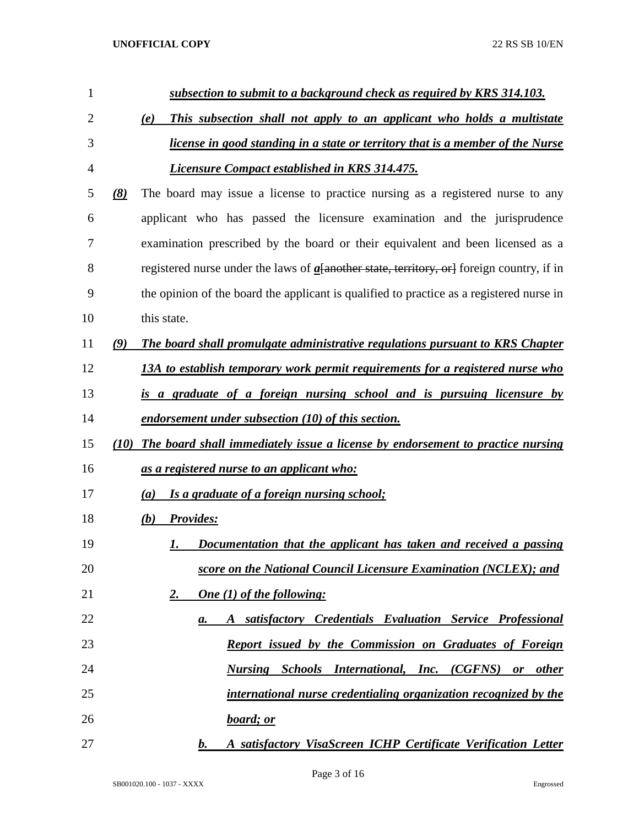| 1  |      | subsection to submit to a background check as required by KRS 314.103.                         |
|----|------|------------------------------------------------------------------------------------------------|
| 2  |      | This subsection shall not apply to an applicant who holds a multistate<br>(e)                  |
| 3  |      | <i>license in good standing in a state or territory that is a member of the Nurse</i>          |
| 4  |      | <b>Licensure Compact established in KRS 314.475.</b>                                           |
| 5  | (8)  | The board may issue a license to practice nursing as a registered nurse to any                 |
| 6  |      | applicant who has passed the licensure examination and the jurisprudence                       |
| 7  |      | examination prescribed by the board or their equivalent and been licensed as a                 |
| 8  |      | registered nurse under the laws of $a$ a another state, territory, or a foreign country, if in |
| 9  |      | the opinion of the board the applicant is qualified to practice as a registered nurse in       |
| 10 |      | this state.                                                                                    |
| 11 | (9)  | The board shall promulgate administrative regulations pursuant to KRS Chapter                  |
| 12 |      | 13A to establish temporary work permit requirements for a registered nurse who                 |
| 13 |      | is a graduate of a foreign nursing school and is pursuing licensure by                         |
| 14 |      | endorsement under subsection (10) of this section.                                             |
| 15 | (10) | The board shall immediately issue a license by endorsement to practice nursing                 |
| 16 |      | <u>as a registered nurse to an applicant who:</u>                                              |
| 17 |      | Is a graduate of a foreign nursing school;<br>(a)                                              |
| 18 |      | (b) Provides:                                                                                  |
| 19 |      | Documentation that the applicant has taken and received a passing<br>I.                        |
| 20 |      | score on the National Council Licensure Examination (NCLEX); and                               |
| 21 |      | One (1) of the following:<br><u>2.</u>                                                         |
| 22 |      | A satisfactory Credentials Evaluation Service Professional<br>a.                               |
| 23 |      | Report issued by the Commission on Graduates of Foreign                                        |
| 24 |      | <b>Nursing Schools International, Inc. (CGFNS) or other</b>                                    |
| 25 |      | international nurse credentialing organization recognized by the                               |
| 26 |      | board; or                                                                                      |
| 27 |      | A satisfactory VisaScreen ICHP Certificate Verification Letter<br>b.                           |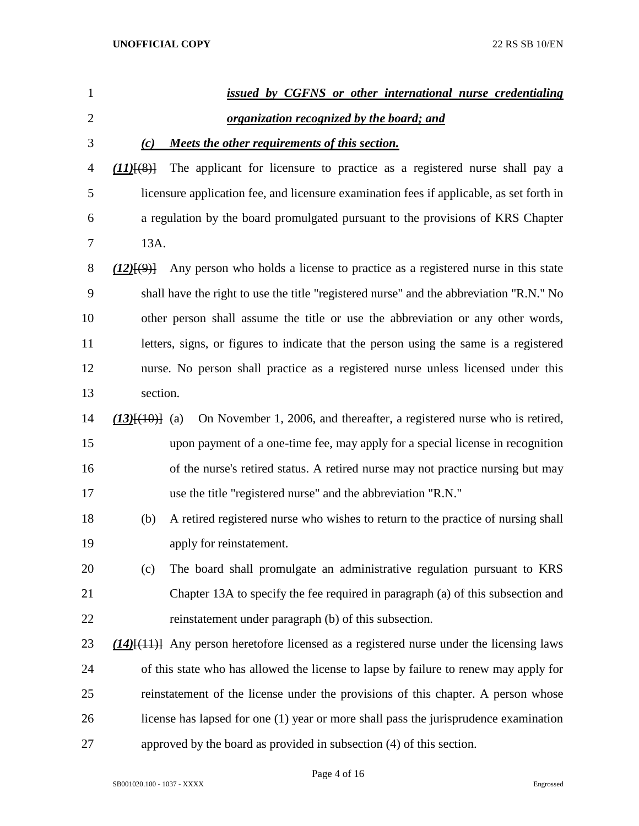| 1              |                     | issued by CGFNS or other international nurse credentialing                                      |
|----------------|---------------------|-------------------------------------------------------------------------------------------------|
| $\overline{2}$ |                     | organization recognized by the board; and                                                       |
| 3              | $\left( c\right)$   | Meets the other requirements of this section.                                                   |
| 4              | $(11)$ $(8)$        | The applicant for licensure to practice as a registered nurse shall pay a                       |
| 5              |                     | licensure application fee, and licensure examination fees if applicable, as set forth in        |
| 6              |                     | a regulation by the board promulgated pursuant to the provisions of KRS Chapter                 |
| 7              | 13A.                |                                                                                                 |
| 8              | $(12)$ $\{9\}$      | Any person who holds a license to practice as a registered nurse in this state                  |
| 9              |                     | shall have the right to use the title "registered nurse" and the abbreviation "R.N." No         |
| 10             |                     | other person shall assume the title or use the abbreviation or any other words,                 |
| 11             |                     | letters, signs, or figures to indicate that the person using the same is a registered           |
| 12             |                     | nurse. No person shall practice as a registered nurse unless licensed under this                |
| 13             | section.            |                                                                                                 |
| 14             | $(13)$ $\{40\}$ (a) | On November 1, 2006, and thereafter, a registered nurse who is retired,                         |
| 15             |                     | upon payment of a one-time fee, may apply for a special license in recognition                  |
| 16             |                     | of the nurse's retired status. A retired nurse may not practice nursing but may                 |
| 17             |                     | use the title "registered nurse" and the abbreviation "R.N."                                    |
| 18             | (b)                 | A retired registered nurse who wishes to return to the practice of nursing shall                |
| 19             |                     | apply for reinstatement.                                                                        |
| 20             | (c)                 | The board shall promulgate an administrative regulation pursuant to KRS                         |
| 21             |                     | Chapter 13A to specify the fee required in paragraph (a) of this subsection and                 |
| 22             |                     | reinstatement under paragraph (b) of this subsection.                                           |
| 23             |                     | $(14)$ [ $(11)$ ] Any person heretofore licensed as a registered nurse under the licensing laws |
| 24             |                     | of this state who has allowed the license to lapse by failure to renew may apply for            |
| 25             |                     | reinstatement of the license under the provisions of this chapter. A person whose               |
| 26             |                     | license has lapsed for one (1) year or more shall pass the jurisprudence examination            |
| 27             |                     | approved by the board as provided in subsection (4) of this section.                            |

Page 4 of 16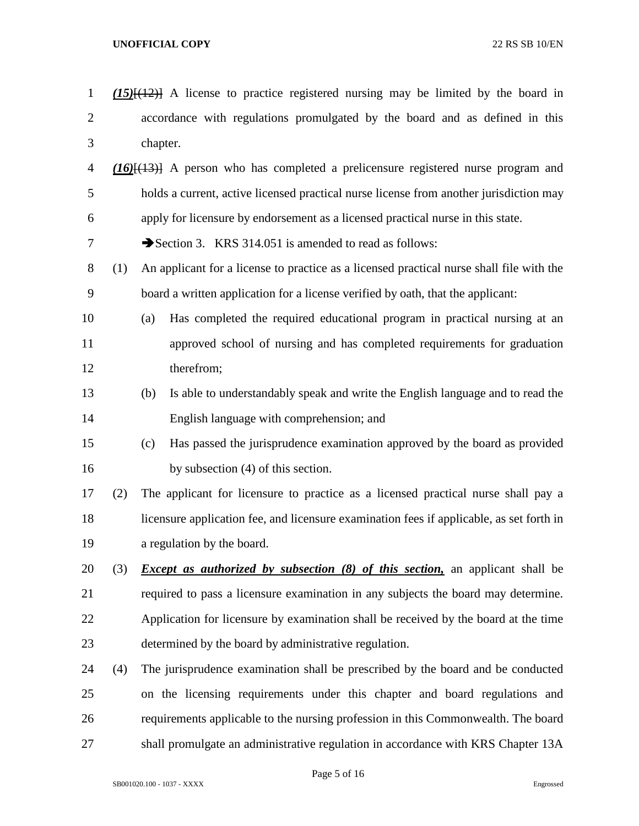| $\mathbf{1}$   |     | $(15)$ $(12)$ A license to practice registered nursing may be limited by the board in    |
|----------------|-----|------------------------------------------------------------------------------------------|
| $\overline{2}$ |     | accordance with regulations promulgated by the board and as defined in this              |
| 3              |     | chapter.                                                                                 |
| $\overline{4}$ |     | $(16)$ [ $(13)$ ] A person who has completed a prelicensure registered nurse program and |
| 5              |     | holds a current, active licensed practical nurse license from another jurisdiction may   |
| 6              |     | apply for licensure by endorsement as a licensed practical nurse in this state.          |
| 7              |     | Section 3. KRS 314.051 is amended to read as follows:                                    |
| 8              | (1) | An applicant for a license to practice as a licensed practical nurse shall file with the |
| 9              |     | board a written application for a license verified by oath, that the applicant:          |
| 10             |     | Has completed the required educational program in practical nursing at an<br>(a)         |
| 11             |     | approved school of nursing and has completed requirements for graduation                 |
| 12             |     | therefrom;                                                                               |
| 13             |     | Is able to understandably speak and write the English language and to read the<br>(b)    |
| 14             |     | English language with comprehension; and                                                 |
| 15             |     | Has passed the jurisprudence examination approved by the board as provided<br>(c)        |
| 16             |     | by subsection (4) of this section.                                                       |
| 17             | (2) | The applicant for licensure to practice as a licensed practical nurse shall pay a        |
| 18             |     | licensure application fee, and licensure examination fees if applicable, as set forth in |
| 19             |     | a regulation by the board.                                                               |
| 20             | (3) | <i>Except as authorized by subsection (8) of this section</i> , an applicant shall be    |
| 21             |     | required to pass a licensure examination in any subjects the board may determine.        |
| 22             |     | Application for licensure by examination shall be received by the board at the time      |
| 23             |     | determined by the board by administrative regulation.                                    |
| 24             | (4) | The jurisprudence examination shall be prescribed by the board and be conducted          |
| 25             |     | on the licensing requirements under this chapter and board regulations and               |
| 26             |     | requirements applicable to the nursing profession in this Commonwealth. The board        |
| 27             |     | shall promulgate an administrative regulation in accordance with KRS Chapter 13A         |

Page 5 of 16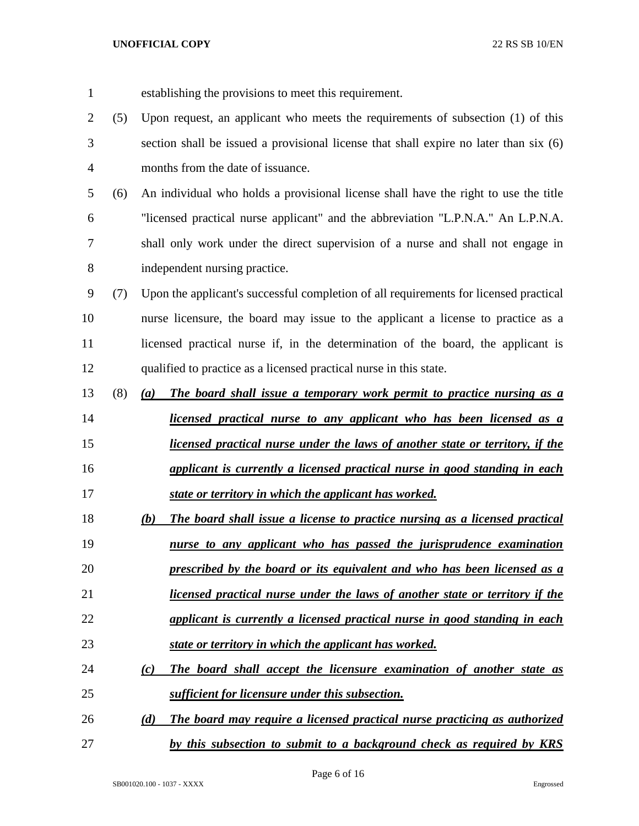establishing the provisions to meet this requirement. (5) Upon request, an applicant who meets the requirements of subsection (1) of this section shall be issued a provisional license that shall expire no later than six (6) months from the date of issuance. (6) An individual who holds a provisional license shall have the right to use the title "licensed practical nurse applicant" and the abbreviation "L.P.N.A." An L.P.N.A. shall only work under the direct supervision of a nurse and shall not engage in independent nursing practice. (7) Upon the applicant's successful completion of all requirements for licensed practical nurse licensure, the board may issue to the applicant a license to practice as a 11 licensed practical nurse if, in the determination of the board, the applicant is qualified to practice as a licensed practical nurse in this state. (8) *(a) The board shall issue a temporary work permit to practice nursing as a licensed practical nurse to any applicant who has been licensed as a licensed practical nurse under the laws of another state or territory, if the applicant is currently a licensed practical nurse in good standing in each state or territory in which the applicant has worked. (b) The board shall issue a license to practice nursing as a licensed practical nurse to any applicant who has passed the jurisprudence examination prescribed by the board or its equivalent and who has been licensed as a licensed practical nurse under the laws of another state or territory if the applicant is currently a licensed practical nurse in good standing in each state or territory in which the applicant has worked. (c) The board shall accept the licensure examination of another state as sufficient for licensure under this subsection. (d) The board may require a licensed practical nurse practicing as authorized by this subsection to submit to a background check as required by KRS*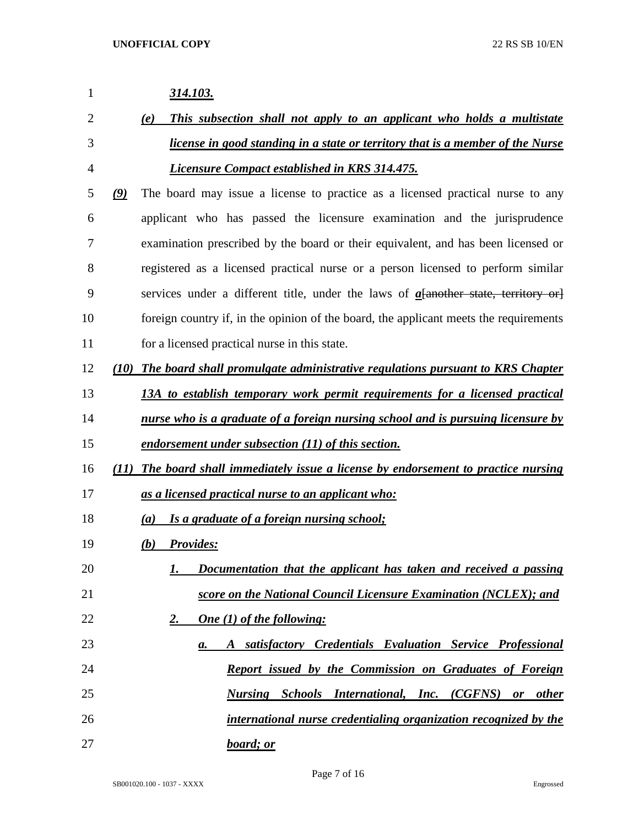| 1              | <u>314.103.</u>                                                                                     |
|----------------|-----------------------------------------------------------------------------------------------------|
| $\overline{2}$ | This subsection shall not apply to an applicant who holds a multistate<br>(e)                       |
| 3              | license in good standing in a state or territory that is a member of the Nurse                      |
| 4              | <b>Licensure Compact established in KRS 314.475.</b>                                                |
| 5              | The board may issue a license to practice as a licensed practical nurse to any<br>$\left( 9\right)$ |
| 6              | applicant who has passed the licensure examination and the jurisprudence                            |
| 7              | examination prescribed by the board or their equivalent, and has been licensed or                   |
| 8              | registered as a licensed practical nurse or a person licensed to perform similar                    |
| 9              | services under a different title, under the laws of $a$ another state, territory or                 |
| 10             | foreign country if, in the opinion of the board, the applicant meets the requirements               |
| 11             | for a licensed practical nurse in this state.                                                       |
| 12             | (10) The board shall promulgate administrative regulations pursuant to KRS Chapter                  |
| 13             | 13A to establish temporary work permit requirements for a licensed practical                        |
| 14             | <u>nurse who is a graduate of a foreign nursing school and is pursuing licensure by</u>             |
| 15             | endorsement under subsection (11) of this section.                                                  |
| 16             | The board shall immediately issue a license by endorsement to practice nursing<br>(II)              |
| 17             | as a licensed practical nurse to an applicant who:                                                  |
| 18             | Is a graduate of a foreign nursing school;<br>(a)                                                   |
| 19             | <b>Provides:</b><br>(b)                                                                             |
| 20             | Documentation that the applicant has taken and received a passing<br>1.                             |
| 21             | score on the National Council Licensure Examination (NCLEX); and                                    |
| 22             | <b>One</b> (1) of the following:<br><u>2.</u>                                                       |
| 23             | A satisfactory Credentials Evaluation Service Professional<br>a.                                    |
| 24             | Report issued by the Commission on Graduates of Foreign                                             |
| 25             | <b>Nursing Schools International, Inc. (CGFNS) or other</b>                                         |
| 26             | international nurse credentialing organization recognized by the                                    |
| 27             | board; or                                                                                           |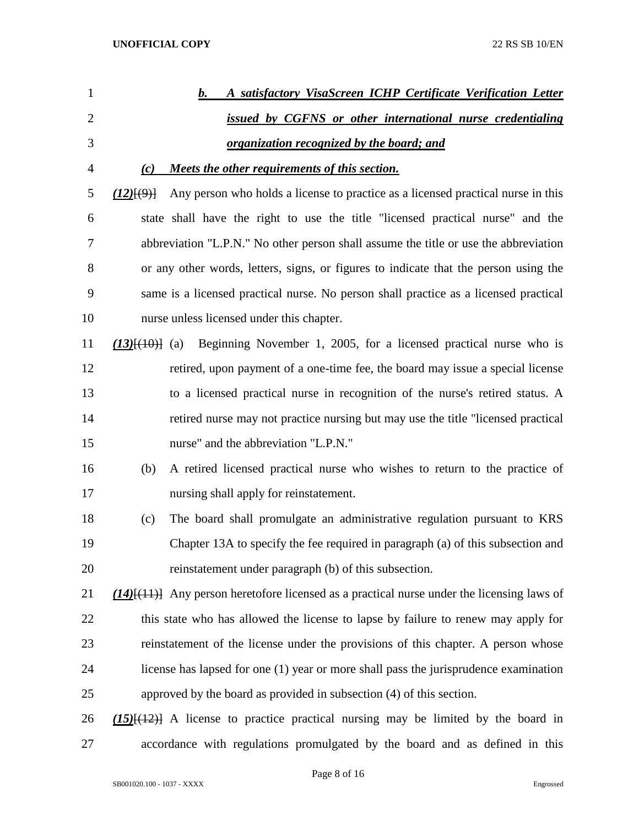| $\mathbf{1}$   |                         | A satisfactory VisaScreen ICHP Certificate Verification Letter<br>b.                              |
|----------------|-------------------------|---------------------------------------------------------------------------------------------------|
| $\overline{2}$ |                         | issued by CGFNS or other international nurse credentialing                                        |
| 3              |                         | <u>organization recognized by the board; and</u>                                                  |
| 4              | (c)                     | Meets the other requirements of this section.                                                     |
| 5              | (12)(9)                 | Any person who holds a license to practice as a licensed practical nurse in this                  |
| 6              |                         | state shall have the right to use the title "licensed practical nurse" and the                    |
| 7              |                         | abbreviation "L.P.N." No other person shall assume the title or use the abbreviation              |
| 8              |                         | or any other words, letters, signs, or figures to indicate that the person using the              |
| 9              |                         | same is a licensed practical nurse. No person shall practice as a licensed practical              |
| 10             |                         | nurse unless licensed under this chapter.                                                         |
| 11             | $(13)$ $\{ (10)$ $(10)$ | Beginning November 1, 2005, for a licensed practical nurse who is                                 |
| 12             |                         | retired, upon payment of a one-time fee, the board may issue a special license                    |
| 13             |                         | to a licensed practical nurse in recognition of the nurse's retired status. A                     |
| 14             |                         | retired nurse may not practice nursing but may use the title "licensed practical                  |
| 15             |                         | nurse" and the abbreviation "L.P.N."                                                              |
| 16             | (b)                     | A retired licensed practical nurse who wishes to return to the practice of                        |
| 17             |                         | nursing shall apply for reinstatement.                                                            |
| 18             | (c)                     | The board shall promulgate an administrative regulation pursuant to KRS                           |
| 19             |                         | Chapter 13A to specify the fee required in paragraph (a) of this subsection and                   |
| 20             |                         | reinstatement under paragraph (b) of this subsection.                                             |
| 21             |                         | $(14)$ [ $(11)$ ] Any person heretofore licensed as a practical nurse under the licensing laws of |
| 22             |                         | this state who has allowed the license to lapse by failure to renew may apply for                 |
| 23             |                         | reinstatement of the license under the provisions of this chapter. A person whose                 |
| 24             |                         | license has lapsed for one (1) year or more shall pass the jurisprudence examination              |
| 25             |                         | approved by the board as provided in subsection (4) of this section.                              |
| 26             |                         | $(15)$ [ $(12)$ ] A license to practice practical nursing may be limited by the board in          |
| 27             |                         | accordance with regulations promulgated by the board and as defined in this                       |

Page 8 of 16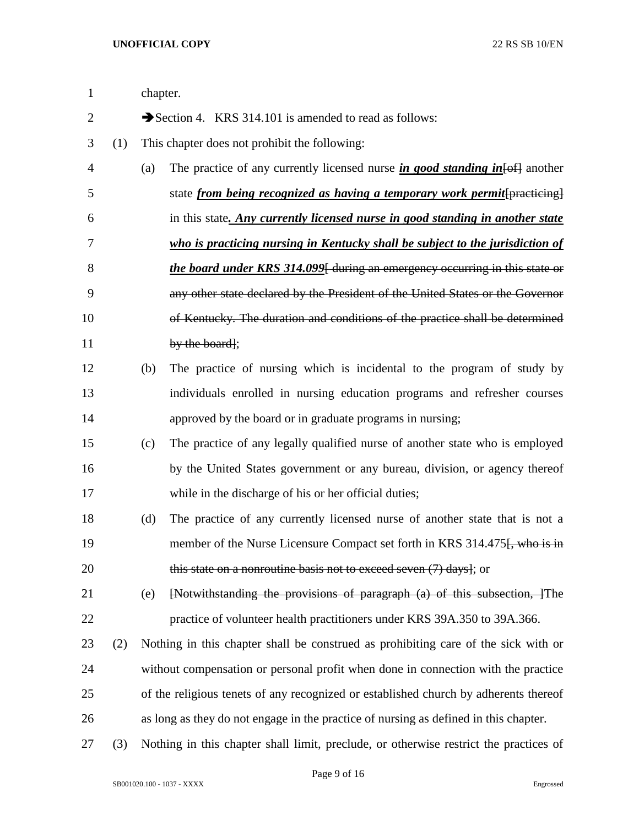| 1              |     | chapter. |                                                                                          |  |
|----------------|-----|----------|------------------------------------------------------------------------------------------|--|
| $\overline{2}$ |     |          | Section 4. KRS 314.101 is amended to read as follows:                                    |  |
| 3              | (1) |          | This chapter does not prohibit the following:                                            |  |
| $\overline{4}$ |     | (a)      | The practice of any currently licensed nurse in good standing in $\left\{\theta$ another |  |
| 5              |     |          | state <i>from being recognized as having a temporary work permit</i> [practicing]        |  |
| 6              |     |          | in this state. Any currently licensed nurse in good standing in another state            |  |
| 7              |     |          | who is practicing nursing in Kentucky shall be subject to the jurisdiction of            |  |
| 8              |     |          | <i>the board under KRS 314.099</i> [ during an emergency occurring in this state or      |  |
| 9              |     |          | any other state declared by the President of the United States or the Governor           |  |
| 10             |     |          | of Kentucky. The duration and conditions of the practice shall be determined             |  |
| 11             |     |          | by the board];                                                                           |  |
| 12             |     | (b)      | The practice of nursing which is incidental to the program of study by                   |  |
| 13             |     |          | individuals enrolled in nursing education programs and refresher courses                 |  |
| 14             |     |          | approved by the board or in graduate programs in nursing;                                |  |
| 15             |     | (c)      | The practice of any legally qualified nurse of another state who is employed             |  |
| 16             |     |          | by the United States government or any bureau, division, or agency thereof               |  |
| 17             |     |          | while in the discharge of his or her official duties;                                    |  |
| 18             |     | (d)      | The practice of any currently licensed nurse of another state that is not a              |  |
| 19             |     |          | member of the Nurse Licensure Compact set forth in KRS 314.475. who is in                |  |
| 20             |     |          | this state on a nonroutine basis not to exceed seven (7) days]; or                       |  |
| 21             |     | (e)      | [Notwithstanding the provisions of paragraph (a) of this subsection, 1 The               |  |
| 22             |     |          | practice of volunteer health practitioners under KRS 39A.350 to 39A.366.                 |  |
| 23             | (2) |          | Nothing in this chapter shall be construed as prohibiting care of the sick with or       |  |
| 24             |     |          | without compensation or personal profit when done in connection with the practice        |  |
| 25             |     |          | of the religious tenets of any recognized or established church by adherents thereof     |  |
| 26             |     |          | as long as they do not engage in the practice of nursing as defined in this chapter.     |  |
| 27             | (3) |          | Nothing in this chapter shall limit, preclude, or otherwise restrict the practices of    |  |

Page 9 of 16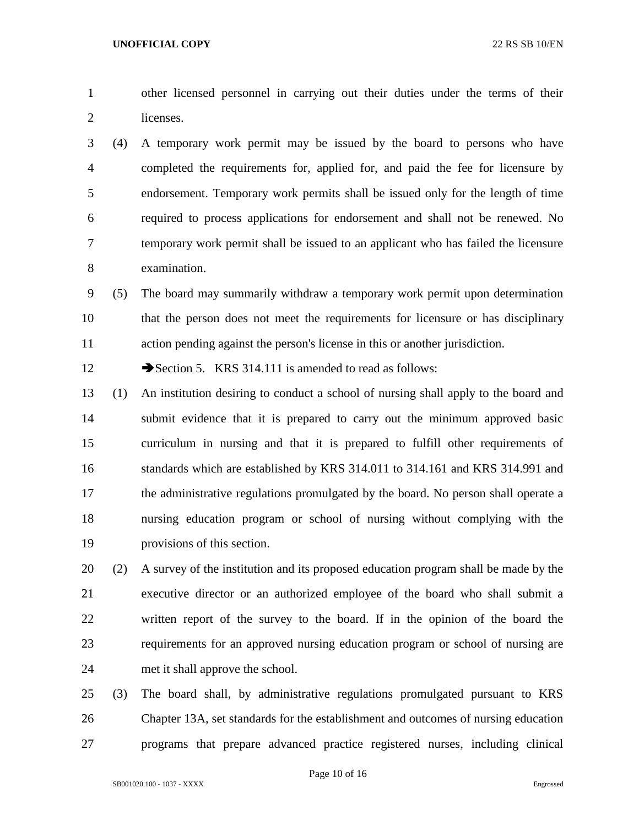other licensed personnel in carrying out their duties under the terms of their licenses.

 (4) A temporary work permit may be issued by the board to persons who have completed the requirements for, applied for, and paid the fee for licensure by endorsement. Temporary work permits shall be issued only for the length of time required to process applications for endorsement and shall not be renewed. No temporary work permit shall be issued to an applicant who has failed the licensure examination.

 (5) The board may summarily withdraw a temporary work permit upon determination that the person does not meet the requirements for licensure or has disciplinary action pending against the person's license in this or another jurisdiction.

12 Section 5. KRS 314.111 is amended to read as follows:

 (1) An institution desiring to conduct a school of nursing shall apply to the board and submit evidence that it is prepared to carry out the minimum approved basic curriculum in nursing and that it is prepared to fulfill other requirements of standards which are established by KRS 314.011 to 314.161 and KRS 314.991 and the administrative regulations promulgated by the board. No person shall operate a nursing education program or school of nursing without complying with the provisions of this section.

 (2) A survey of the institution and its proposed education program shall be made by the executive director or an authorized employee of the board who shall submit a written report of the survey to the board. If in the opinion of the board the requirements for an approved nursing education program or school of nursing are met it shall approve the school.

 (3) The board shall, by administrative regulations promulgated pursuant to KRS Chapter 13A, set standards for the establishment and outcomes of nursing education programs that prepare advanced practice registered nurses, including clinical

Page 10 of 16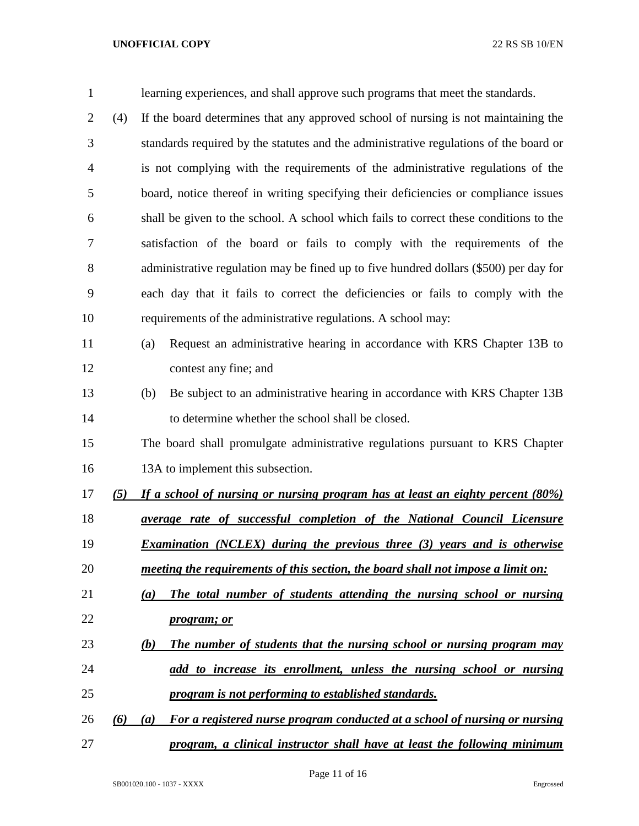| $\mathbf{1}$   |     | learning experiences, and shall approve such programs that meet the standards.          |
|----------------|-----|-----------------------------------------------------------------------------------------|
| $\overline{2}$ | (4) | If the board determines that any approved school of nursing is not maintaining the      |
| 3              |     | standards required by the statutes and the administrative regulations of the board or   |
| 4              |     | is not complying with the requirements of the administrative regulations of the         |
| 5              |     | board, notice thereof in writing specifying their deficiencies or compliance issues     |
| 6              |     | shall be given to the school. A school which fails to correct these conditions to the   |
| 7              |     | satisfaction of the board or fails to comply with the requirements of the               |
| 8              |     | administrative regulation may be fined up to five hundred dollars (\$500) per day for   |
| 9              |     | each day that it fails to correct the deficiencies or fails to comply with the          |
| 10             |     | requirements of the administrative regulations. A school may:                           |
| 11             |     | Request an administrative hearing in accordance with KRS Chapter 13B to<br>(a)          |
| 12             |     | contest any fine; and                                                                   |
| 13             |     | Be subject to an administrative hearing in accordance with KRS Chapter 13B<br>(b)       |
| 14             |     | to determine whether the school shall be closed.                                        |
| 15             |     | The board shall promulgate administrative regulations pursuant to KRS Chapter           |
| 16             |     | 13A to implement this subsection.                                                       |
| 17             | (5) | If a school of nursing or nursing program has at least an eighty percent (80%)          |
| 18             |     | <i>average rate of successful completion of the National Council Licensure</i>          |
| 19             |     | <b>Examination</b> (NCLEX) during the previous three (3) years and is otherwise         |
| 20             |     | <u>meeting the requirements of this section, the board shall not impose a limit on:</u> |
| 21             |     | The total number of students attending the nursing school or nursing<br>(a)             |
| 22             |     | <i>program; or</i>                                                                      |
| 23             |     | The number of students that the nursing school or nursing program may<br>(b)            |
| 24             |     | add to increase its enrollment, unless the nursing school or nursing                    |
| 25             |     | program is not performing to established standards.                                     |
| 26             | (6) | For a registered nurse program conducted at a school of nursing or nursing<br>(a)       |
| 27             |     | program, a clinical instructor shall have at least the following minimum                |

Page 11 of 16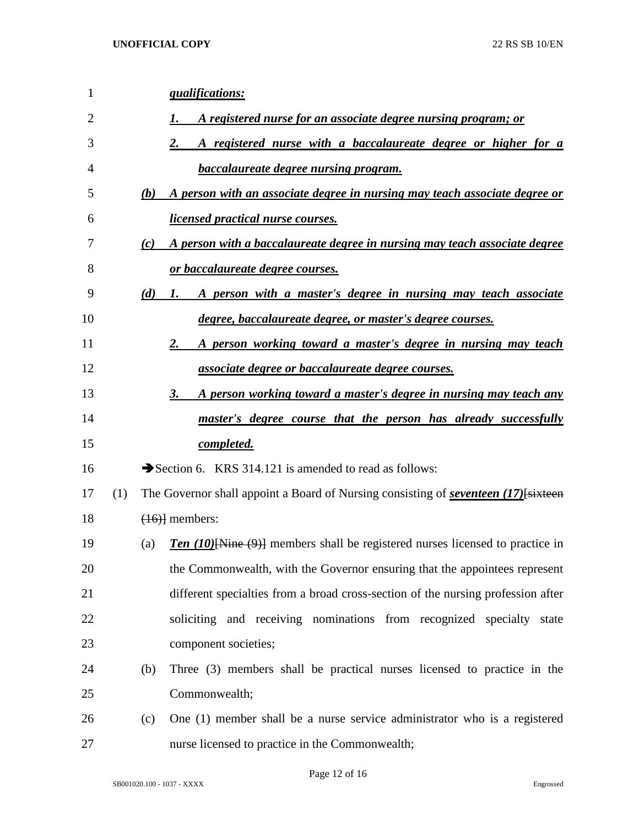| 1  |     |     | <i><u><b>gualifications:</b></u></i>                                                        |
|----|-----|-----|---------------------------------------------------------------------------------------------|
| 2  |     |     | A registered nurse for an associate degree nursing program; or                              |
| 3  |     |     | <u>A registered nurse with a baccalaureate degree or higher for a</u>                       |
| 4  |     |     | <b>baccalaureate degree nursing program.</b>                                                |
| 5  |     | (b) | A person with an associate degree in nursing may teach associate degree or                  |
| 6  |     |     | <i>licensed practical nurse courses.</i>                                                    |
| 7  |     | (c) | A person with a baccalaureate degree in nursing may teach associate degree                  |
| 8  |     |     | <u>or baccalaureate degree courses.</u>                                                     |
| 9  |     | (d) | A person with a master's degree in nursing may teach associate<br>1.                        |
| 10 |     |     | degree, baccalaureate degree, or master's degree courses.                                   |
| 11 |     |     | <u>A person working toward a master's degree in nursing may teach</u><br>2.                 |
| 12 |     |     | associate degree or baccalaureate degree courses.                                           |
| 13 |     |     | <u>A person working toward a master's degree in nursing may teach any</u><br>3.             |
| 14 |     |     | <u>master's degree course that the person has already successfully</u>                      |
| 15 |     |     | completed.                                                                                  |
| 16 |     |     | Section 6. KRS 314.121 is amended to read as follows:                                       |
| 17 | (1) |     | The Governor shall appoint a Board of Nursing consisting of <i>seventeen</i> (17) [sixteen] |
| 18 |     |     | $(16)$ members:                                                                             |
| 19 |     | (a) | <b>Ten (10)</b> [Nine (9)] members shall be registered nurses licensed to practice in       |
| 20 |     |     | the Commonwealth, with the Governor ensuring that the appointees represent                  |
| 21 |     |     | different specialties from a broad cross-section of the nursing profession after            |
| 22 |     |     | soliciting and receiving nominations from recognized specialty state                        |
| 23 |     |     | component societies;                                                                        |
| 24 |     | (b) | Three (3) members shall be practical nurses licensed to practice in the                     |
| 25 |     |     | Commonwealth;                                                                               |
| 26 |     | (c) | One (1) member shall be a nurse service administrator who is a registered                   |
| 27 |     |     | nurse licensed to practice in the Commonwealth;                                             |

Page 12 of 16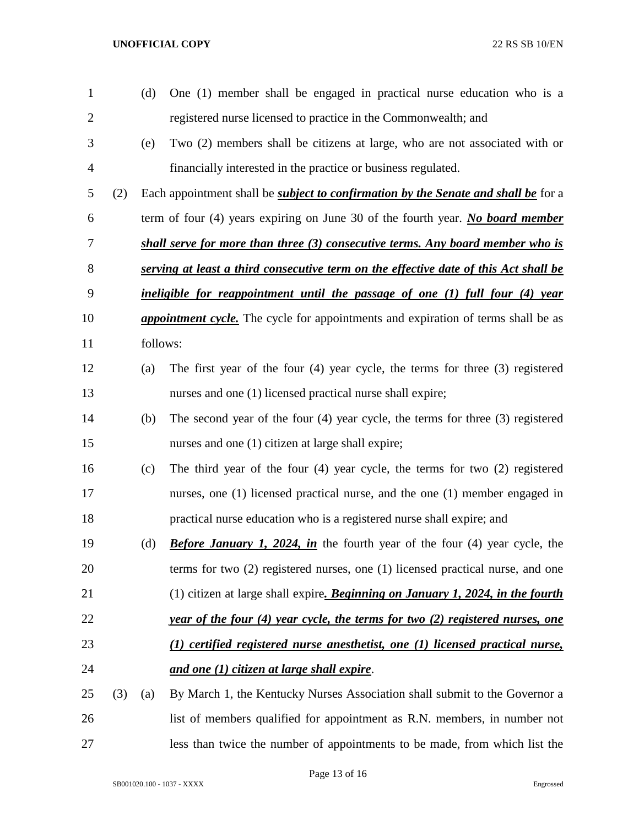| $\mathbf{1}$   |     | (d)      | One (1) member shall be engaged in practical nurse education who is a                     |
|----------------|-----|----------|-------------------------------------------------------------------------------------------|
| $\overline{2}$ |     |          | registered nurse licensed to practice in the Commonwealth; and                            |
| 3              |     | (e)      | Two (2) members shall be citizens at large, who are not associated with or                |
| 4              |     |          | financially interested in the practice or business regulated.                             |
| 5              | (2) |          | Each appointment shall be <i>subject to confirmation by the Senate and shall be</i> for a |
| 6              |     |          | term of four (4) years expiring on June 30 of the fourth year. No board member            |
| 7              |     |          | shall serve for more than three (3) consecutive terms. Any board member who is            |
| 8              |     |          | serving at least a third consecutive term on the effective date of this Act shall be      |
| 9              |     |          | ineligible for reappointment until the passage of one (1) full four (4) year              |
| 10             |     |          | <i>appointment cycle</i> . The cycle for appointments and expiration of terms shall be as |
| 11             |     | follows: |                                                                                           |
| 12             |     | (a)      | The first year of the four $(4)$ year cycle, the terms for three $(3)$ registered         |
| 13             |     |          | nurses and one (1) licensed practical nurse shall expire;                                 |
| 14             |     | (b)      | The second year of the four $(4)$ year cycle, the terms for three $(3)$ registered        |
| 15             |     |          | nurses and one (1) citizen at large shall expire;                                         |
| 16             |     | (c)      | The third year of the four $(4)$ year cycle, the terms for two $(2)$ registered           |
| 17             |     |          | nurses, one (1) licensed practical nurse, and the one (1) member engaged in               |
| 18             |     |          | practical nurse education who is a registered nurse shall expire; and                     |
| 19             |     | (d)      | <b>Before January 1, 2024, in</b> the fourth year of the four (4) year cycle, the         |
| 20             |     |          | terms for two $(2)$ registered nurses, one $(1)$ licensed practical nurse, and one        |
| 21             |     |          | (1) citizen at large shall expire. <b>Beginning on January 1, 2024, in the fourth</b>     |
| 22             |     |          | <i>year of the four (4) year cycle, the terms for two (2) registered nurses, one</i>      |
| 23             |     |          | (1) certified registered nurse anesthetist, one (1) licensed practical nurse,             |
| 24             |     |          | and one (1) citizen at large shall expire.                                                |
| 25             | (3) | (a)      | By March 1, the Kentucky Nurses Association shall submit to the Governor a                |
| 26             |     |          | list of members qualified for appointment as R.N. members, in number not                  |
| 27             |     |          | less than twice the number of appointments to be made, from which list the                |

Page 13 of 16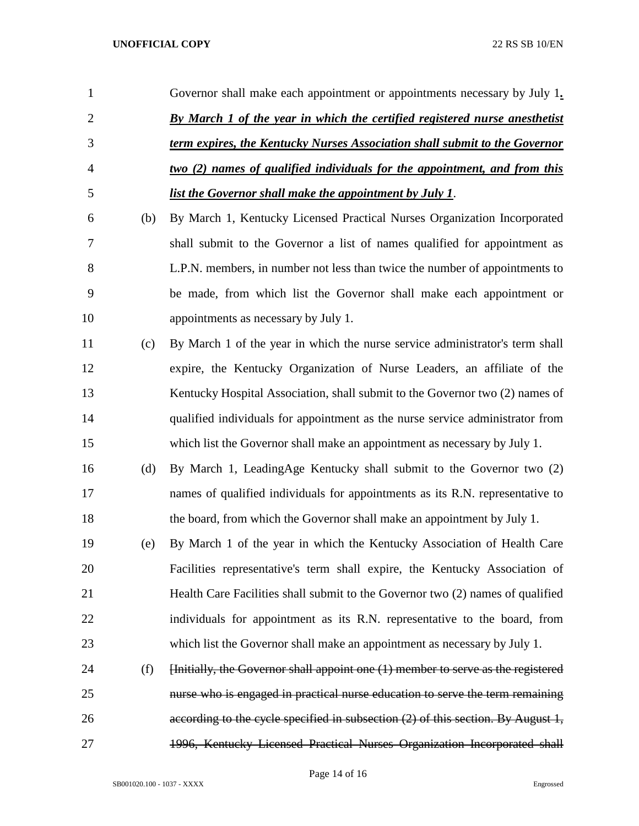| 1              |     | Governor shall make each appointment or appointments necessary by July 1.         |
|----------------|-----|-----------------------------------------------------------------------------------|
| $\overline{2}$ |     | <b>By March 1 of the year in which the certified registered nurse anesthetist</b> |
| 3              |     | term expires, the Kentucky Nurses Association shall submit to the Governor        |
| $\overline{4}$ |     | <u>two (2) names of qualified individuals for the appointment, and from this</u>  |
| 5              |     | list the Governor shall make the appointment by July 1.                           |
| 6              | (b) | By March 1, Kentucky Licensed Practical Nurses Organization Incorporated          |
| 7              |     | shall submit to the Governor a list of names qualified for appointment as         |
| 8              |     | L.P.N. members, in number not less than twice the number of appointments to       |
| 9              |     | be made, from which list the Governor shall make each appointment or              |
| 10             |     | appointments as necessary by July 1.                                              |
| 11             | (c) | By March 1 of the year in which the nurse service administrator's term shall      |
| 12             |     | expire, the Kentucky Organization of Nurse Leaders, an affiliate of the           |
| 13             |     | Kentucky Hospital Association, shall submit to the Governor two (2) names of      |
| 14             |     | qualified individuals for appointment as the nurse service administrator from     |
| 15             |     | which list the Governor shall make an appointment as necessary by July 1.         |
| 16             | (d) | By March 1, LeadingAge Kentucky shall submit to the Governor two (2)              |
| 17             |     | names of qualified individuals for appointments as its R.N. representative to     |
| 18             |     | the board, from which the Governor shall make an appointment by July 1.           |
| 19             | (e) | By March 1 of the year in which the Kentucky Association of Health Care           |
| 20             |     | Facilities representative's term shall expire, the Kentucky Association of        |
| 21             |     | Health Care Facilities shall submit to the Governor two (2) names of qualified    |
| 22             |     | individuals for appointment as its R.N. representative to the board, from         |
| 23             |     | which list the Governor shall make an appointment as necessary by July 1.         |
| 24             | (f) | [Initially, the Governor shall appoint one (1) member to serve as the registered  |
| 25             |     | nurse who is engaged in practical nurse education to serve the term remaining     |
| 26             |     | according to the cycle specified in subsection (2) of this section. By August 1,  |
| 27             |     | 1996, Kentucky Licensed Practical Nurses Organization Incorporated shall          |

Page 14 of 16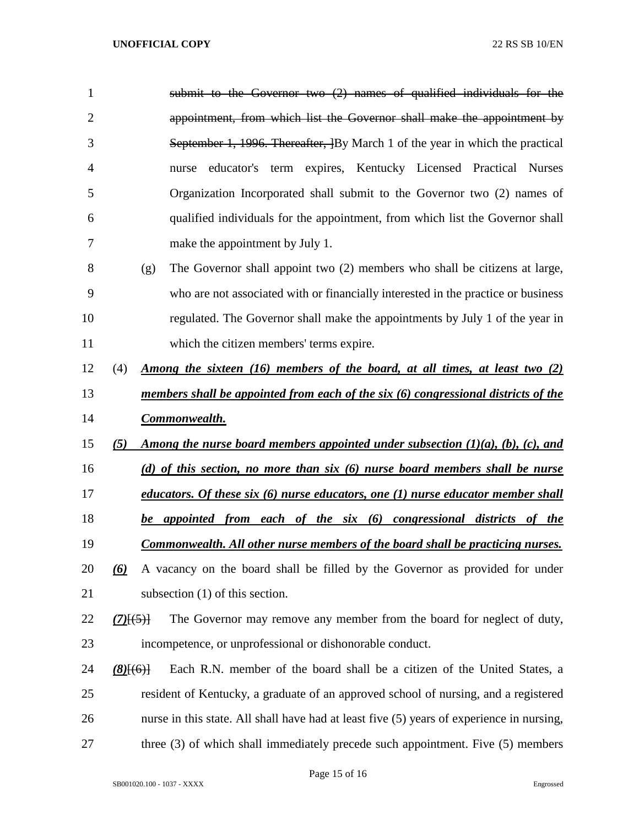| 1              |             |     | submit to the Governor two (2) names of qualified individuals for the                     |
|----------------|-------------|-----|-------------------------------------------------------------------------------------------|
| $\overline{2}$ |             |     | appointment, from which list the Governor shall make the appointment by                   |
| 3              |             |     | September 1, 1996. Thereafter, By March 1 of the year in which the practical              |
| $\overline{4}$ |             |     | educator's term expires, Kentucky Licensed Practical Nurses<br>nurse                      |
| 5              |             |     | Organization Incorporated shall submit to the Governor two (2) names of                   |
| 6              |             |     | qualified individuals for the appointment, from which list the Governor shall             |
| 7              |             |     | make the appointment by July 1.                                                           |
| 8              |             | (g) | The Governor shall appoint two (2) members who shall be citizens at large,                |
| 9              |             |     | who are not associated with or financially interested in the practice or business         |
| 10             |             |     | regulated. The Governor shall make the appointments by July 1 of the year in              |
| 11             |             |     | which the citizen members' terms expire.                                                  |
| 12             | (4)         |     | <u>Among the sixteen (16) members of the board, at all times, at least two (2)</u>        |
| 13             |             |     | members shall be appointed from each of the six (6) congressional districts of the        |
| 14             |             |     | Commonwealth.                                                                             |
| 15             | (5)         |     | Among the nurse board members appointed under subsection $(1)(a)$ , $(b)$ , $(c)$ , and   |
| 16             |             |     | (d) of this section, no more than six (6) nurse board members shall be nurse              |
| 17             |             |     | educators. Of these six (6) nurse educators, one (1) nurse educator member shall          |
| 18             |             |     | be appointed from each of the six (6) congressional districts of the                      |
| 19             |             |     | Commonwealth. All other nurse members of the board shall be practicing nurses.            |
| 20             | (6)         |     | A vacancy on the board shall be filled by the Governor as provided for under              |
| 21             |             |     | subsection $(1)$ of this section.                                                         |
| 22             | (7)(5)      |     | The Governor may remove any member from the board for neglect of duty,                    |
| 23             |             |     | incompetence, or unprofessional or dishonorable conduct.                                  |
| 24             | $(8)$ [(6)] |     | Each R.N. member of the board shall be a citizen of the United States, a                  |
| 25             |             |     | resident of Kentucky, a graduate of an approved school of nursing, and a registered       |
| 26             |             |     | nurse in this state. All shall have had at least five (5) years of experience in nursing, |
| 27             |             |     | three $(3)$ of which shall immediately precede such appointment. Five $(5)$ members       |

Page 15 of 16